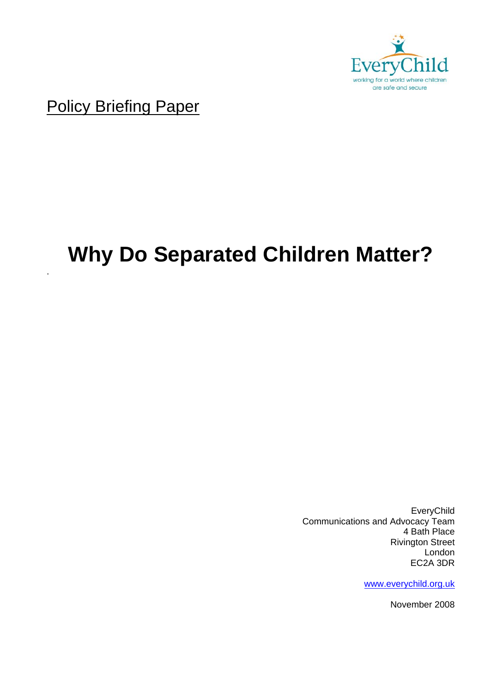

Policy Briefing Paper

.

# **Why Do Separated Children Matter?**

EveryChild Communications and Advocacy Team 4 Bath Place Rivington Street London EC2A 3DR

www.everychild.org.uk

November 2008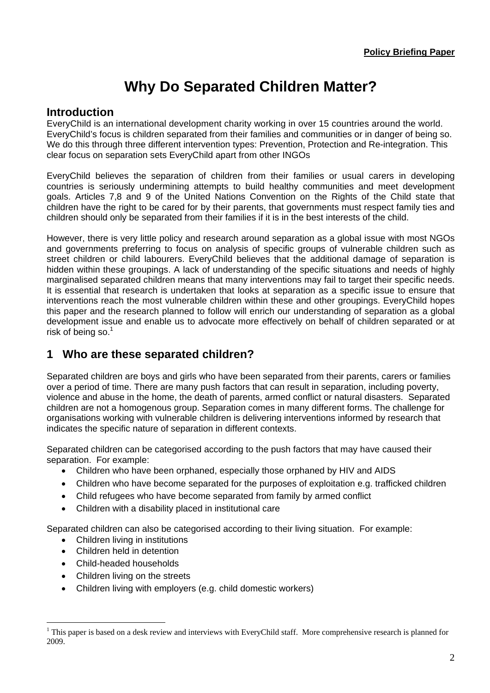## **Why Do Separated Children Matter?**

### **Introduction**

EveryChild is an international development charity working in over 15 countries around the world. EveryChild's focus is children separated from their families and communities or in danger of being so. We do this through three different intervention types: Prevention, Protection and Re-integration. This clear focus on separation sets EveryChild apart from other INGOs

EveryChild believes the separation of children from their families or usual carers in developing countries is seriously undermining attempts to build healthy communities and meet development goals. Articles 7,8 and 9 of the United Nations Convention on the Rights of the Child state that children have the right to be cared for by their parents, that governments must respect family ties and children should only be separated from their families if it is in the best interests of the child.

However, there is very little policy and research around separation as a global issue with most NGOs and governments preferring to focus on analysis of specific groups of vulnerable children such as street children or child labourers. EveryChild believes that the additional damage of separation is hidden within these groupings. A lack of understanding of the specific situations and needs of highly marginalised separated children means that many interventions may fail to target their specific needs. It is essential that research is undertaken that looks at separation as a specific issue to ensure that interventions reach the most vulnerable children within these and other groupings. EveryChild hopes this paper and the research planned to follow will enrich our understanding of separation as a global development issue and enable us to advocate more effectively on behalf of children separated or at risk of being so. $1$ 

### **1 Who are these separated children?**

Separated children are boys and girls who have been separated from their parents, carers or families over a period of time. There are many push factors that can result in separation, including poverty, violence and abuse in the home, the death of parents, armed conflict or natural disasters. Separated children are not a homogenous group. Separation comes in many different forms. The challenge for organisations working with vulnerable children is delivering interventions informed by research that indicates the specific nature of separation in different contexts.

Separated children can be categorised according to the push factors that may have caused their separation. For example:

- Children who have been orphaned, especially those orphaned by HIV and AIDS
- Children who have become separated for the purposes of exploitation e.g. trafficked children
- Child refugees who have become separated from family by armed conflict
- Children with a disability placed in institutional care

Separated children can also be categorised according to their living situation. For example:

- Children living in institutions
- Children held in detention
- Child-headed households

 $\overline{a}$ 

- Children living on the streets
- Children living with employers (e.g. child domestic workers)

 $<sup>1</sup>$  This paper is based on a desk review and interviews with EveryChild staff. More comprehensive research is planned for</sup> 2009.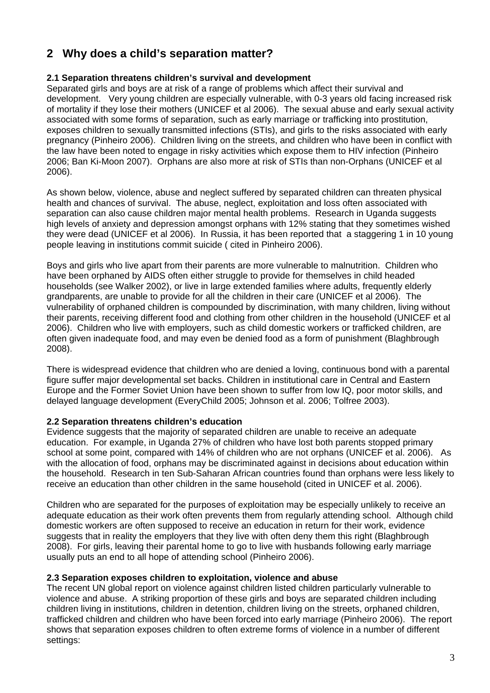### **2 Why does a child's separation matter?**

### **2.1 Separation threatens children's survival and development**

Separated girls and boys are at risk of a range of problems which affect their survival and development. Very young children are especially vulnerable, with 0-3 years old facing increased risk of mortality if they lose their mothers (UNICEF et al 2006). The sexual abuse and early sexual activity associated with some forms of separation, such as early marriage or trafficking into prostitution, exposes children to sexually transmitted infections (STIs), and girls to the risks associated with early pregnancy (Pinheiro 2006). Children living on the streets, and children who have been in conflict with the law have been noted to engage in risky activities which expose them to HIV infection (Pinheiro 2006; Ban Ki-Moon 2007). Orphans are also more at risk of STIs than non-Orphans (UNICEF et al 2006).

As shown below, violence, abuse and neglect suffered by separated children can threaten physical health and chances of survival. The abuse, neglect, exploitation and loss often associated with separation can also cause children major mental health problems. Research in Uganda suggests high levels of anxiety and depression amongst orphans with 12% stating that they sometimes wished they were dead (UNICEF et al 2006). In Russia, it has been reported that a staggering 1 in 10 young people leaving in institutions commit suicide ( cited in Pinheiro 2006).

Boys and girls who live apart from their parents are more vulnerable to malnutrition. Children who have been orphaned by AIDS often either struggle to provide for themselves in child headed households (see Walker 2002), or live in large extended families where adults, frequently elderly grandparents, are unable to provide for all the children in their care (UNICEF et al 2006). The vulnerability of orphaned children is compounded by discrimination, with many children, living without their parents, receiving different food and clothing from other children in the household (UNICEF et al 2006). Children who live with employers, such as child domestic workers or trafficked children, are often given inadequate food, and may even be denied food as a form of punishment (Blaghbrough 2008).

There is widespread evidence that children who are denied a loving, continuous bond with a parental figure suffer major developmental set backs. Children in institutional care in Central and Eastern Europe and the Former Soviet Union have been shown to suffer from low IQ, poor motor skills, and delayed language development (EveryChild 2005; Johnson et al. 2006; Tolfree 2003).

### **2.2 Separation threatens children's education**

Evidence suggests that the majority of separated children are unable to receive an adequate education. For example, in Uganda 27% of children who have lost both parents stopped primary school at some point, compared with 14% of children who are not orphans (UNICEF et al. 2006). As with the allocation of food, orphans may be discriminated against in decisions about education within the household. Research in ten Sub-Saharan African countries found than orphans were less likely to receive an education than other children in the same household (cited in UNICEF et al. 2006).

Children who are separated for the purposes of exploitation may be especially unlikely to receive an adequate education as their work often prevents them from regularly attending school. Although child domestic workers are often supposed to receive an education in return for their work, evidence suggests that in reality the employers that they live with often deny them this right (Blaghbrough 2008). For girls, leaving their parental home to go to live with husbands following early marriage usually puts an end to all hope of attending school (Pinheiro 2006).

### **2.3 Separation exposes children to exploitation, violence and abuse**

The recent UN global report on violence against children listed children particularly vulnerable to violence and abuse. A striking proportion of these girls and boys are separated children including children living in institutions, children in detention, children living on the streets, orphaned children, trafficked children and children who have been forced into early marriage (Pinheiro 2006). The report shows that separation exposes children to often extreme forms of violence in a number of different settings: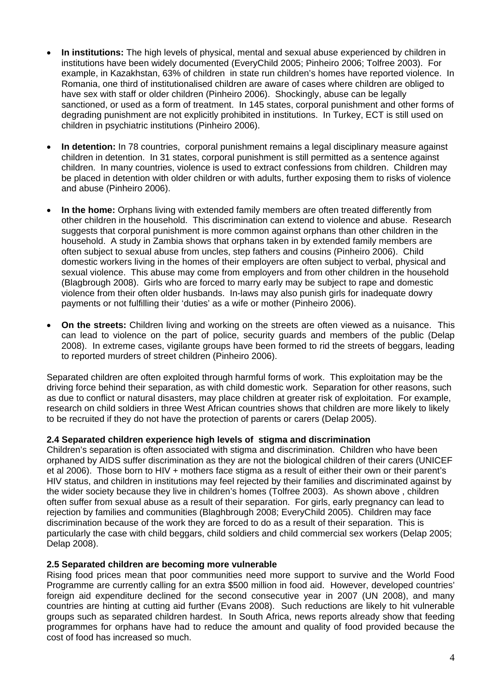- **In institutions:** The high levels of physical, mental and sexual abuse experienced by children in institutions have been widely documented (EveryChild 2005; Pinheiro 2006; Tolfree 2003). For example, in Kazakhstan, 63% of children in state run children's homes have reported violence. In Romania, one third of institutionalised children are aware of cases where children are obliged to have sex with staff or older children (Pinheiro 2006). Shockingly, abuse can be legally sanctioned, or used as a form of treatment. In 145 states, corporal punishment and other forms of degrading punishment are not explicitly prohibited in institutions. In Turkey, ECT is still used on children in psychiatric institutions (Pinheiro 2006).
- **In detention:** In 78 countries, corporal punishment remains a legal disciplinary measure against children in detention. In 31 states, corporal punishment is still permitted as a sentence against children. In many countries, violence is used to extract confessions from children. Children may be placed in detention with older children or with adults, further exposing them to risks of violence and abuse (Pinheiro 2006).
- **In the home:** Orphans living with extended family members are often treated differently from other children in the household. This discrimination can extend to violence and abuse. Research suggests that corporal punishment is more common against orphans than other children in the household. A study in Zambia shows that orphans taken in by extended family members are often subject to sexual abuse from uncles, step fathers and cousins (Pinheiro 2006). Child domestic workers living in the homes of their employers are often subject to verbal, physical and sexual violence. This abuse may come from employers and from other children in the household (Blagbrough 2008). Girls who are forced to marry early may be subject to rape and domestic violence from their often older husbands. In-laws may also punish girls for inadequate dowry payments or not fulfilling their 'duties' as a wife or mother (Pinheiro 2006).
- **On the streets:** Children living and working on the streets are often viewed as a nuisance. This can lead to violence on the part of police, security guards and members of the public (Delap 2008). In extreme cases, vigilante groups have been formed to rid the streets of beggars, leading to reported murders of street children (Pinheiro 2006).

Separated children are often exploited through harmful forms of work. This exploitation may be the driving force behind their separation, as with child domestic work. Separation for other reasons, such as due to conflict or natural disasters, may place children at greater risk of exploitation. For example, research on child soldiers in three West African countries shows that children are more likely to likely to be recruited if they do not have the protection of parents or carers (Delap 2005).

### **2.4 Separated children experience high levels of stigma and discrimination**

Children's separation is often associated with stigma and discrimination. Children who have been orphaned by AIDS suffer discrimination as they are not the biological children of their carers (UNICEF et al 2006). Those born to HIV + mothers face stigma as a result of either their own or their parent's HIV status, and children in institutions may feel rejected by their families and discriminated against by the wider society because they live in children's homes (Tolfree 2003). As shown above , children often suffer from sexual abuse as a result of their separation. For girls, early pregnancy can lead to rejection by families and communities (Blaghbrough 2008; EveryChild 2005). Children may face discrimination because of the work they are forced to do as a result of their separation. This is particularly the case with child beggars, child soldiers and child commercial sex workers (Delap 2005; Delap 2008).

### **2.5 Separated children are becoming more vulnerable**

Rising food prices mean that poor communities need more support to survive and the World Food Programme are currently calling for an extra \$500 million in food aid. However, developed countries' foreign aid expenditure declined for the second consecutive year in 2007 (UN 2008), and many countries are hinting at cutting aid further (Evans 2008). Such reductions are likely to hit vulnerable groups such as separated children hardest. In South Africa, news reports already show that feeding programmes for orphans have had to reduce the amount and quality of food provided because the cost of food has increased so much.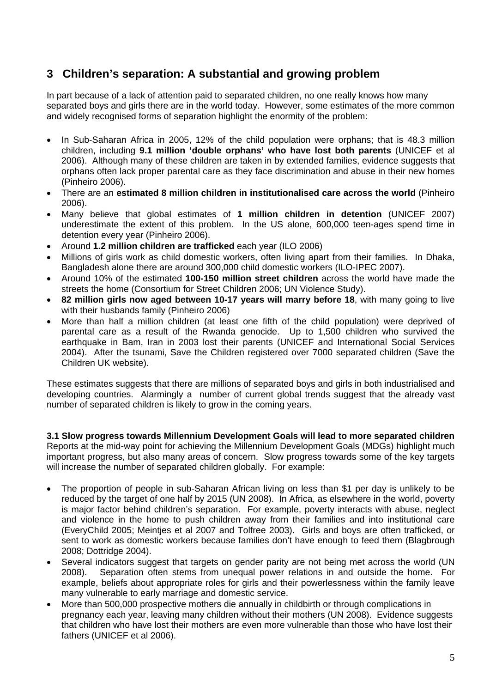### **3 Children's separation: A substantial and growing problem**

In part because of a lack of attention paid to separated children, no one really knows how many separated boys and girls there are in the world today. However, some estimates of the more common and widely recognised forms of separation highlight the enormity of the problem:

- In Sub-Saharan Africa in 2005, 12% of the child population were orphans; that is 48.3 million children, including **9.1 million 'double orphans' who have lost both parents** (UNICEF et al 2006). Although many of these children are taken in by extended families, evidence suggests that orphans often lack proper parental care as they face discrimination and abuse in their new homes (Pinheiro 2006).
- There are an **estimated 8 million children in institutionalised care across the world** (Pinheiro 2006).
- Many believe that global estimates of **1 million children in detention** (UNICEF 2007) underestimate the extent of this problem. In the US alone, 600,000 teen-ages spend time in detention every year (Pinheiro 2006).
- Around **1.2 million children are trafficked** each year (ILO 2006)
- Millions of girls work as child domestic workers, often living apart from their families. In Dhaka, Bangladesh alone there are around 300,000 child domestic workers (ILO-IPEC 2007).
- Around 10% of the estimated **100-150 million street children** across the world have made the streets the home (Consortium for Street Children 2006; UN Violence Study).
- **82 million girls now aged between 10-17 years will marry before 18**, with many going to live with their husbands family (Pinheiro 2006)
- More than half a million children (at least one fifth of the child population) were deprived of parental care as a result of the Rwanda genocide. Up to 1,500 children who survived the earthquake in Bam, Iran in 2003 lost their parents (UNICEF and International Social Services 2004). After the tsunami, Save the Children registered over 7000 separated children (Save the Children UK website).

These estimates suggests that there are millions of separated boys and girls in both industrialised and developing countries. Alarmingly a number of current global trends suggest that the already vast number of separated children is likely to grow in the coming years.

**3.1 Slow progress towards Millennium Development Goals will lead to more separated children**  Reports at the mid-way point for achieving the Millennium Development Goals (MDGs) highlight much important progress, but also many areas of concern. Slow progress towards some of the key targets will increase the number of separated children globally. For example:

- The proportion of people in sub-Saharan African living on less than \$1 per day is unlikely to be reduced by the target of one half by 2015 (UN 2008). In Africa, as elsewhere in the world, poverty is major factor behind children's separation. For example, poverty interacts with abuse, neglect and violence in the home to push children away from their families and into institutional care (EveryChild 2005; Meintjes et al 2007 and Tolfree 2003). Girls and boys are often trafficked, or sent to work as domestic workers because families don't have enough to feed them (Blagbrough 2008; Dottridge 2004).
- Several indicators suggest that targets on gender parity are not being met across the world (UN 2008). Separation often stems from unequal power relations in and outside the home. For example, beliefs about appropriate roles for girls and their powerlessness within the family leave many vulnerable to early marriage and domestic service.
- More than 500,000 prospective mothers die annually in childbirth or through complications in pregnancy each year, leaving many children without their mothers (UN 2008). Evidence suggests that children who have lost their mothers are even more vulnerable than those who have lost their fathers (UNICEF et al 2006).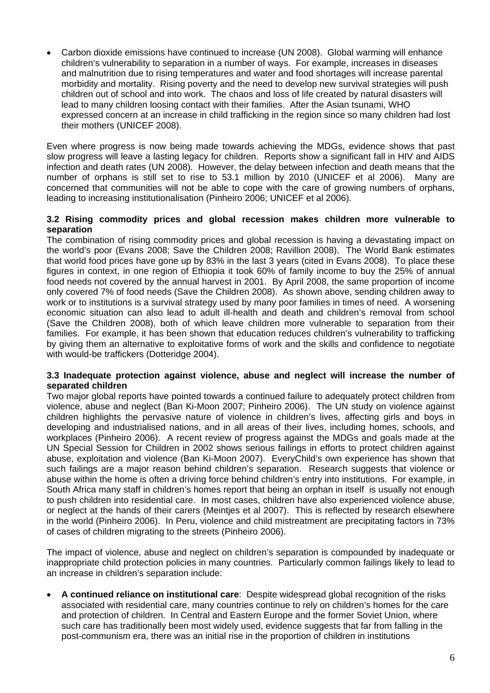Carbon dioxide emissions have continued to increase (UN 2008). Global warming will enhance children's vulnerability to separation in a number of ways. For example, increases in diseases and malnutrition due to rising temperatures and water and food shortages will increase parental morbidity and mortality. Rising poverty and the need to develop new survival strategies will push children out of school and into work. The chaos and loss of life created by natural disasters will lead to many children loosing contact with their families. After the Asian tsunami, WHO expressed concern at an increase in child trafficking in the region since so many children had lost their mothers (UNICEF 2008).

Even where progress is now being made towards achieving the MDGs, evidence shows that past slow progress will leave a lasting legacy for children. Reports show a significant fall in HIV and AIDS infection and death rates (UN 2008). However, the delay between infection and death means that the number of orphans is still set to rise to 53.1 million by 2010 (UNICEF et al 2006). Many are concerned that communities will not be able to cope with the care of growing numbers of orphans, leading to increasing institutionalisation (Pinheiro 2006; UNICEF et al 2006).

#### **3.2 Rising commodity prices and global recession makes children more vulnerable to separation**

The combination of rising commodity prices and global recession is having a devastating impact on the world's poor (Evans 2008; Save the Children 2008; Ravillion 2008). The World Bank estimates that world food prices have gone up by 83% in the last 3 years (cited in Evans 2008). To place these figures in context, in one region of Ethiopia it took 60% of family income to buy the 25% of annual food needs not covered by the annual harvest in 2001. By April 2008, the same proportion of income only covered 7% of food needs (Save the Children 2008). As shown above, sending children away to work or to institutions is a survival strategy used by many poor families in times of need. A worsening economic situation can also lead to adult ill-health and death and children's removal from school (Save the Children 2008), both of which leave children more vulnerable to separation from their families. For example, it has been shown that education reduces children's vulnerability to trafficking by giving them an alternative to exploitative forms of work and the skills and confidence to negotiate with would-be traffickers (Dotteridge 2004).

#### **3.3 Inadequate protection against violence, abuse and neglect will increase the number of separated children**

Two major global reports have pointed towards a continued failure to adequately protect children from violence, abuse and neglect (Ban Ki-Moon 2007; Pinheiro 2006). The UN study on violence against children highlights the pervasive nature of violence in children's lives, affecting girls and boys in developing and industrialised nations, and in all areas of their lives, including homes, schools, and workplaces (Pinheiro 2006). A recent review of progress against the MDGs and goals made at the UN Special Session for Children in 2002 shows serious failings in efforts to protect children against abuse, exploitation and violence (Ban Ki-Moon 2007). EveryChild's own experience has shown that such failings are a major reason behind children's separation. Research suggests that violence or abuse within the home is often a driving force behind children's entry into institutions. For example, in South Africa many staff in children's homes report that being an orphan in itself is usually not enough to push children into residential care. In most cases, children have also experienced violence abuse, or neglect at the hands of their carers (Meintjes et al 2007). This is reflected by research elsewhere in the world (Pinheiro 2006). In Peru, violence and child mistreatment are precipitating factors in 73% of cases of children migrating to the streets (Pinheiro 2006).

The impact of violence, abuse and neglect on children's separation is compounded by inadequate or inappropriate child protection policies in many countries. Particularly common failings likely to lead to an increase in children's separation include:

 **A continued reliance on institutional care**: Despite widespread global recognition of the risks associated with residential care, many countries continue to rely on children's homes for the care and protection of children. In Central and Eastern Europe and the former Soviet Union, where such care has traditionally been most widely used, evidence suggests that far from falling in the post-communism era, there was an initial rise in the proportion of children in institutions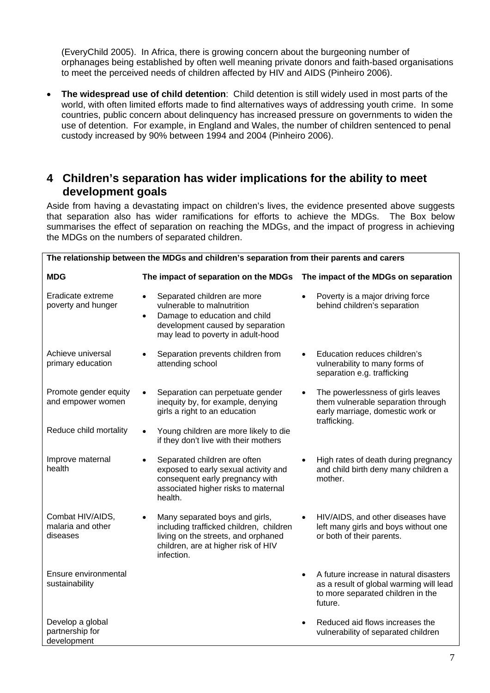(EveryChild 2005). In Africa, there is growing concern about the burgeoning number of orphanages being established by often well meaning private donors and faith-based organisations to meet the perceived needs of children affected by HIV and AIDS (Pinheiro 2006).

 **The widespread use of child detention**: Child detention is still widely used in most parts of the world, with often limited efforts made to find alternatives ways of addressing youth crime. In some countries, public concern about delinquency has increased pressure on governments to widen the use of detention. For example, in England and Wales, the number of children sentenced to penal custody increased by 90% between 1994 and 2004 (Pinheiro 2006).

### **4 Children's separation has wider implications for the ability to meet development goals**

Aside from having a devastating impact on children's lives, the evidence presented above suggests that separation also has wider ramifications for efforts to achieve the MDGs. The Box below summarises the effect of separation on reaching the MDGs, and the impact of progress in achieving the MDGs on the numbers of separated children.

| The relationship between the MDGs and children's separation from their parents and carers |                                                                                                                                                                                               |                                                                                                                                                |
|-------------------------------------------------------------------------------------------|-----------------------------------------------------------------------------------------------------------------------------------------------------------------------------------------------|------------------------------------------------------------------------------------------------------------------------------------------------|
| <b>MDG</b>                                                                                | The impact of separation on the MDGs                                                                                                                                                          | The impact of the MDGs on separation                                                                                                           |
| Eradicate extreme<br>poverty and hunger                                                   | Separated children are more<br>$\bullet$<br>vulnerable to malnutrition<br>Damage to education and child<br>$\bullet$<br>development caused by separation<br>may lead to poverty in adult-hood | Poverty is a major driving force<br>behind children's separation                                                                               |
| Achieve universal<br>primary education                                                    | Separation prevents children from<br>attending school                                                                                                                                         | Education reduces children's<br>vulnerability to many forms of<br>separation e.g. trafficking                                                  |
| Promote gender equity<br>and empower women                                                | Separation can perpetuate gender<br>inequity by, for example, denying<br>girls a right to an education                                                                                        | The powerlessness of girls leaves<br>them vulnerable separation through<br>early marriage, domestic work or<br>trafficking.                    |
| Reduce child mortality                                                                    | Young children are more likely to die<br>$\bullet$<br>if they don't live with their mothers                                                                                                   |                                                                                                                                                |
| Improve maternal<br>health                                                                | Separated children are often<br>exposed to early sexual activity and<br>consequent early pregnancy with<br>associated higher risks to maternal<br>health.                                     | High rates of death during pregnancy<br>and child birth deny many children a<br>mother.                                                        |
| Combat HIV/AIDS,<br>malaria and other<br>diseases                                         | Many separated boys and girls,<br>including trafficked children, children<br>living on the streets, and orphaned<br>children, are at higher risk of HIV<br>infection.                         | HIV/AIDS, and other diseases have<br>left many girls and boys without one<br>or both of their parents.                                         |
| Ensure environmental<br>sustainability                                                    |                                                                                                                                                                                               | A future increase in natural disasters<br>$\bullet$<br>as a result of global warming will lead<br>to more separated children in the<br>future. |
| Develop a global<br>partnership for<br>development                                        |                                                                                                                                                                                               | Reduced aid flows increases the<br>vulnerability of separated children                                                                         |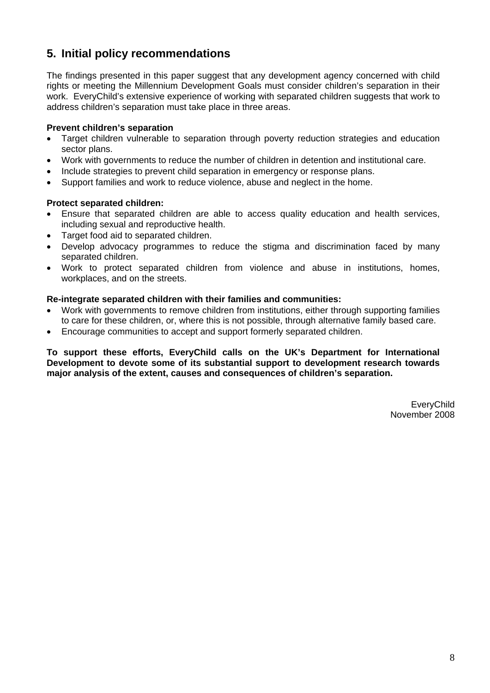### **5. Initial policy recommendations**

The findings presented in this paper suggest that any development agency concerned with child rights or meeting the Millennium Development Goals must consider children's separation in their work. EveryChild's extensive experience of working with separated children suggests that work to address children's separation must take place in three areas.

### **Prevent children's separation**

- Target children vulnerable to separation through poverty reduction strategies and education sector plans.
- Work with governments to reduce the number of children in detention and institutional care.
- Include strategies to prevent child separation in emergency or response plans.
- Support families and work to reduce violence, abuse and neglect in the home.

### **Protect separated children:**

- Ensure that separated children are able to access quality education and health services, including sexual and reproductive health.
- Target food aid to separated children.
- Develop advocacy programmes to reduce the stigma and discrimination faced by many separated children.
- Work to protect separated children from violence and abuse in institutions, homes, workplaces, and on the streets.

### **Re-integrate separated children with their families and communities:**

- Work with governments to remove children from institutions, either through supporting families to care for these children, or, where this is not possible, through alternative family based care.
- Encourage communities to accept and support formerly separated children.

**To support these efforts, EveryChild calls on the UK's Department for International Development to devote some of its substantial support to development research towards major analysis of the extent, causes and consequences of children's separation.** 

> **EveryChild** November 2008